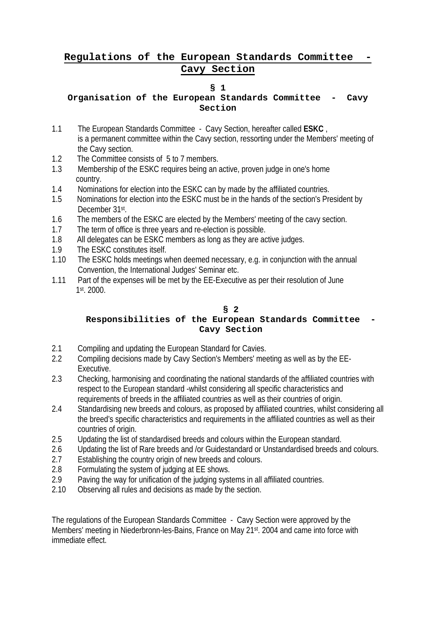## **Regulations of the European Standards Committee - Cavy Section**

#### **§ 1**

### **Organisation of the European Standards Committee - Cavy Section**

- 1.1 The European Standards Committee Cavy Section, hereafter called **ESKC** , is a permanent committee within the Cavy section, ressorting under the Members' meeting of the Cavy section.
- 1.2 The Committee consists of 5 to 7 members.
- 1.3 Membership of the ESKC requires being an active, proven judge in one's home country.
- 1.4 Nominations for election into the ESKC can by made by the affiliated countries.
- 1.5 Nominations for election into the ESKC must be in the hands of the section's President by December 31st.
- 1.6 The members of the ESKC are elected by the Members' meeting of the cavy section.
- 1.7 The term of office is three years and re-election is possible.
- 1.8 All delegates can be ESKC members as long as they are active judges.
- 1.9 The ESKC constitutes itself.
- 1.10 The ESKC holds meetings when deemed necessary, e.g. in conjunction with the annual Convention, the International Judges' Seminar etc.
- 1.11 Part of the expenses will be met by the EE-Executive as per their resolution of June 1st. 2000.

## **§ 2**

# **Responsibilities of the European Standards Committee - Cavy Section**

- 2.1 Compiling and updating the European Standard for Cavies.
- 2.2 Compiling decisions made by Cavy Section's Members' meeting as well as by the EE-Executive.
- 2.3 Checking, harmonising and coordinating the national standards of the affiliated countries with respect to the European standard -whilst considering all specific characteristics and requirements of breeds in the affiliated countries as well as their countries of origin.
- 2.4 Standardising new breeds and colours, as proposed by affiliated countries, whilst considering all the breed's specific characteristics and requirements in the affiliated countries as well as their countries of origin.
- 2.5 Updating the list of standardised breeds and colours within the European standard.
- 2.6 Updating the list of Rare breeds and /or Guidestandard or Unstandardised breeds and colours.
- 2.7 Establishing the country origin of new breeds and colours.
- 2.8 Formulating the system of judging at EE shows.
- 2.9 Paving the way for unification of the judging systems in all affiliated countries.
- 2.10 Observing all rules and decisions as made by the section.

The regulations of the European Standards Committee - Cavy Section were approved by the Members' meeting in Niederbronn-les-Bains, France on May 21st. 2004 and came into force with immediate effect.